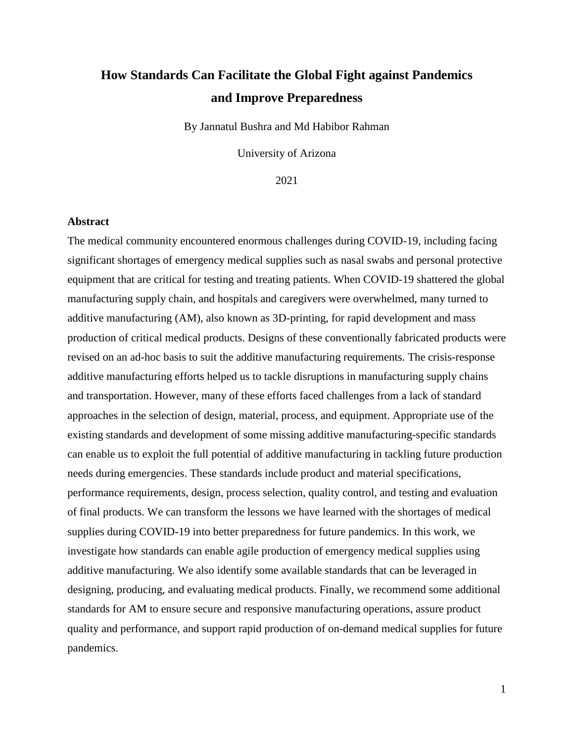# **How Standards Can Facilitate the Global Fight against Pandemics and Improve Preparedness**

By Jannatul Bushra and Md Habibor Rahman

University of Arizona

2021

# **Abstract**

The medical community encountered enormous challenges during COVID-19, including facing significant shortages of emergency medical supplies such as nasal swabs and personal protective equipment that are critical for testing and treating patients. When COVID-19 shattered the global manufacturing supply chain, and hospitals and caregivers were overwhelmed, many turned to additive manufacturing (AM), also known as 3D-printing, for rapid development and mass production of critical medical products. Designs of these conventionally fabricated products were revised on an ad-hoc basis to suit the additive manufacturing requirements. The crisis-response additive manufacturing efforts helped us to tackle disruptions in manufacturing supply chains and transportation. However, many of these efforts faced challenges from a lack of standard approaches in the selection of design, material, process, and equipment. Appropriate use of the existing standards and development of some missing additive manufacturing-specific standards can enable us to exploit the full potential of additive manufacturing in tackling future production needs during emergencies. These standards include product and material specifications, performance requirements, design, process selection, quality control, and testing and evaluation of final products. We can transform the lessons we have learned with the shortages of medical supplies during COVID-19 into better preparedness for future pandemics. In this work, we investigate how standards can enable agile production of emergency medical supplies using additive manufacturing. We also identify some available standards that can be leveraged in designing, producing, and evaluating medical products. Finally, we recommend some additional standards for AM to ensure secure and responsive manufacturing operations, assure product quality and performance, and support rapid production of on-demand medical supplies for future pandemics.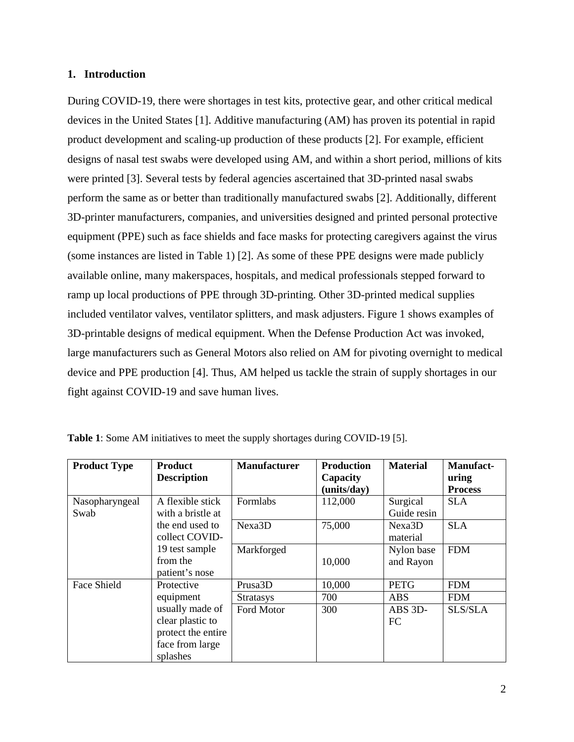# **1. Introduction**

During COVID-19, there were shortages in test kits, protective gear, and other critical medical devices in the United States [1]. Additive manufacturing (AM) has proven its potential in rapid product development and scaling-up production of these products [2]. For example, efficient designs of nasal test swabs were developed using AM, and within a short period, millions of kits were printed [3]. Several tests by federal agencies ascertained that 3D-printed nasal swabs perform the same as or better than traditionally manufactured swabs [2]. Additionally, different 3D-printer manufacturers, companies, and universities designed and printed personal protective equipment (PPE) such as face shields and face masks for protecting caregivers against the virus (some instances are listed in [Table 1\)](#page-1-0) [2]. As some of these PPE designs were made publicly available online, many makerspaces, hospitals, and medical professionals stepped forward to ramp up local productions of PPE through 3D-printing. Other 3D-printed medical supplies included ventilator valves, ventilator splitters, and mask adjusters. Figure 1 shows examples of 3D-printable designs of medical equipment. When the Defense Production Act was invoked, large manufacturers such as General Motors also relied on AM for pivoting overnight to medical device and PPE production [4]. Thus, AM helped us tackle the strain of supply shortages in our fight against COVID-19 and save human lives.

| <b>Product Type</b> | <b>Product</b>     | <b>Manufacturer</b> | <b>Production</b> | <b>Material</b> | <b>Manufact-</b> |
|---------------------|--------------------|---------------------|-------------------|-----------------|------------------|
|                     | <b>Description</b> |                     | Capacity          |                 | uring            |
|                     |                    |                     | (units/day)       |                 | <b>Process</b>   |
| Nasopharyngeal      | A flexible stick   | Formlabs            | 112,000           | Surgical        | <b>SLA</b>       |
| Swab                | with a bristle at  |                     |                   | Guide resin     |                  |
|                     | the end used to    | Nexa3D              | 75,000            | Nexa3D          | <b>SLA</b>       |
|                     | collect COVID-     |                     |                   | material        |                  |
|                     | 19 test sample     | Markforged          |                   | Nylon base      | <b>FDM</b>       |
|                     | from the           |                     | 10,000            | and Rayon       |                  |
|                     | patient's nose     |                     |                   |                 |                  |
| Face Shield         | Protective         | Prusa3D             | 10,000            | <b>PETG</b>     | <b>FDM</b>       |
|                     | equipment          | <b>Stratasys</b>    | 700               | <b>ABS</b>      | <b>FDM</b>       |
|                     | usually made of    | Ford Motor          | 300               | ABS 3D-         | SLS/SLA          |
|                     | clear plastic to   |                     |                   | <b>FC</b>       |                  |
|                     | protect the entire |                     |                   |                 |                  |
|                     | face from large    |                     |                   |                 |                  |
|                     | splashes           |                     |                   |                 |                  |

<span id="page-1-0"></span>

| Table 1: Some AM initiatives to meet the supply shortages during COVID-19 [5]. |  |  |  |
|--------------------------------------------------------------------------------|--|--|--|
|--------------------------------------------------------------------------------|--|--|--|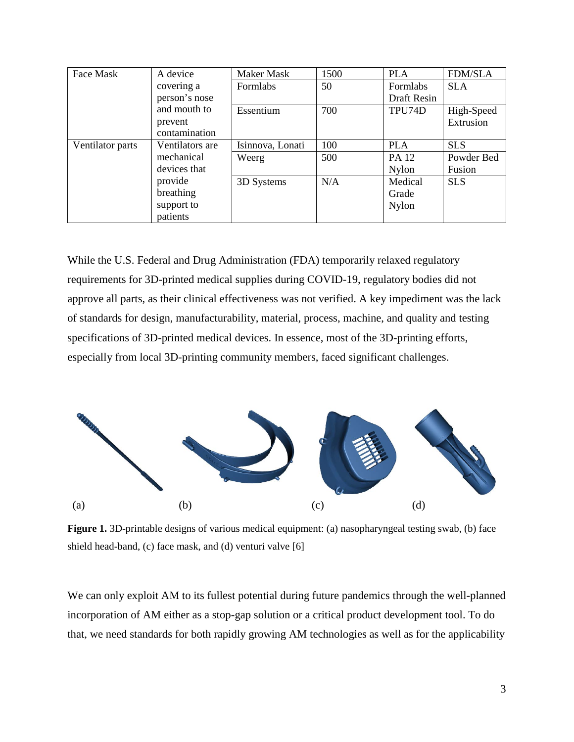| Face Mask        | A device        | Maker Mask       | 1500 | <b>PLA</b>   | <b>FDM/SLA</b> |
|------------------|-----------------|------------------|------|--------------|----------------|
|                  | covering a      | Formlabs         | 50   | Formlabs     | <b>SLA</b>     |
|                  | person's nose   |                  |      | Draft Resin  |                |
|                  | and mouth to    | Essentium        | 700  | TPU74D       | High-Speed     |
|                  | prevent         |                  |      |              | Extrusion      |
|                  | contamination   |                  |      |              |                |
| Ventilator parts | Ventilators are | Isinnova, Lonati | 100  | <b>PLA</b>   | <b>SLS</b>     |
|                  | mechanical      | Weerg            | 500  | PA 12        | Powder Bed     |
|                  | devices that    |                  |      | <b>Nylon</b> | Fusion         |
|                  | provide         | 3D Systems       | N/A  | Medical      | <b>SLS</b>     |
|                  | breathing       |                  |      | Grade        |                |
|                  | support to      |                  |      | <b>Nylon</b> |                |
|                  | patients        |                  |      |              |                |

While the U.S. Federal and Drug Administration (FDA) temporarily relaxed regulatory requirements for 3D-printed medical supplies during COVID-19, regulatory bodies did not approve all parts, as their clinical effectiveness was not verified. A key impediment was the lack of standards for design, manufacturability, material, process, machine, and quality and testing specifications of 3D-printed medical devices. In essence, most of the 3D-printing efforts, especially from local 3D-printing community members, faced significant challenges.



**Figure 1.** 3D-printable designs of various medical equipment: (a) nasopharyngeal testing swab, (b) face shield head-band, (c) face mask, and (d) venturi valve [6]

We can only exploit AM to its fullest potential during future pandemics through the well-planned incorporation of AM either as a stop-gap solution or a critical product development tool. To do that, we need standards for both rapidly growing AM technologies as well as for the applicability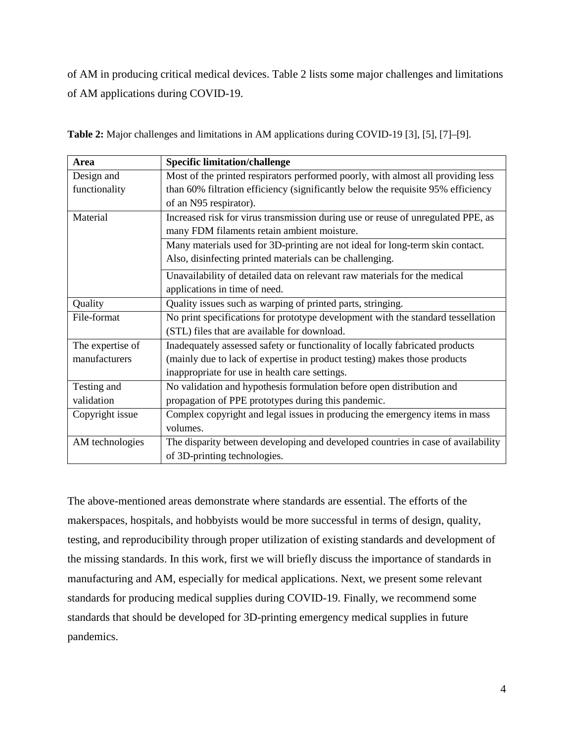of AM in producing critical medical devices. Table 2 lists some major challenges and limitations of AM applications during COVID-19.

| Area             | <b>Specific limitation/challenge</b>                                             |  |
|------------------|----------------------------------------------------------------------------------|--|
| Design and       | Most of the printed respirators performed poorly, with almost all providing less |  |
| functionality    | than 60% filtration efficiency (significantly below the requisite 95% efficiency |  |
|                  | of an N95 respirator).                                                           |  |
| Material         | Increased risk for virus transmission during use or reuse of unregulated PPE, as |  |
|                  | many FDM filaments retain ambient moisture.                                      |  |
|                  | Many materials used for 3D-printing are not ideal for long-term skin contact.    |  |
|                  | Also, disinfecting printed materials can be challenging.                         |  |
|                  | Unavailability of detailed data on relevant raw materials for the medical        |  |
|                  | applications in time of need.                                                    |  |
| Quality          | Quality issues such as warping of printed parts, stringing.                      |  |
| File-format      | No print specifications for prototype development with the standard tessellation |  |
|                  | (STL) files that are available for download.                                     |  |
| The expertise of | Inadequately assessed safety or functionality of locally fabricated products     |  |
| manufacturers    | (mainly due to lack of expertise in product testing) makes those products        |  |
|                  | inappropriate for use in health care settings.                                   |  |
| Testing and      | No validation and hypothesis formulation before open distribution and            |  |
| validation       | propagation of PPE prototypes during this pandemic.                              |  |
| Copyright issue  | Complex copyright and legal issues in producing the emergency items in mass      |  |
|                  | volumes.                                                                         |  |
| AM technologies  | The disparity between developing and developed countries in case of availability |  |
|                  | of 3D-printing technologies.                                                     |  |

**Table 2:** Major challenges and limitations in AM applications during COVID-19 [3], [5], [7]–[9].

The above-mentioned areas demonstrate where standards are essential. The efforts of the makerspaces, hospitals, and hobbyists would be more successful in terms of design, quality, testing, and reproducibility through proper utilization of existing standards and development of the missing standards. In this work, first we will briefly discuss the importance of standards in manufacturing and AM, especially for medical applications. Next, we present some relevant standards for producing medical supplies during COVID-19. Finally, we recommend some standards that should be developed for 3D-printing emergency medical supplies in future pandemics.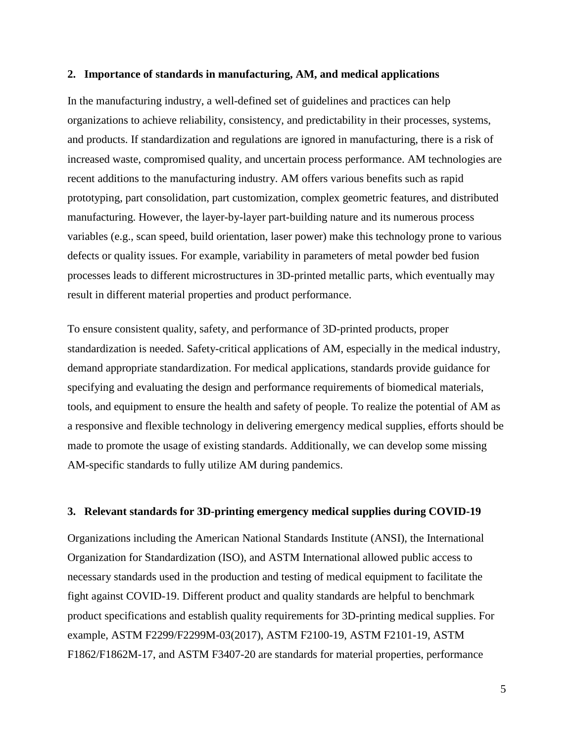#### **2. Importance of standards in manufacturing, AM, and medical applications**

In the manufacturing industry, a well-defined set of guidelines and practices can help organizations to achieve reliability, consistency, and predictability in their processes, systems, and products. If standardization and regulations are ignored in manufacturing, there is a risk of increased waste, compromised quality, and uncertain process performance. AM technologies are recent additions to the manufacturing industry. AM offers various benefits such as rapid prototyping, part consolidation, part customization, complex geometric features, and distributed manufacturing. However, the layer-by-layer part-building nature and its numerous process variables (e.g., scan speed, build orientation, laser power) make this technology prone to various defects or quality issues. For example, variability in parameters of metal powder bed fusion processes leads to different microstructures in 3D-printed metallic parts, which eventually may result in different material properties and product performance.

To ensure consistent quality, safety, and performance of 3D-printed products, proper standardization is needed. Safety-critical applications of AM, especially in the medical industry, demand appropriate standardization. For medical applications, standards provide guidance for specifying and evaluating the design and performance requirements of biomedical materials, tools, and equipment to ensure the health and safety of people. To realize the potential of AM as a responsive and flexible technology in delivering emergency medical supplies, efforts should be made to promote the usage of existing standards. Additionally, we can develop some missing AM-specific standards to fully utilize AM during pandemics.

#### **3. Relevant standards for 3D-printing emergency medical supplies during COVID-19**

Organizations including the American National Standards Institute (ANSI), the International Organization for Standardization (ISO), and ASTM International allowed public access to necessary standards used in the production and testing of medical equipment to facilitate the fight against COVID-19. Different product and quality standards are helpful to benchmark product specifications and establish quality requirements for 3D-printing medical supplies. For example, ASTM F2299/F2299M-03(2017), ASTM F2100-19, ASTM F2101-19, ASTM F1862/F1862M-17, and ASTM F3407-20 are standards for material properties, performance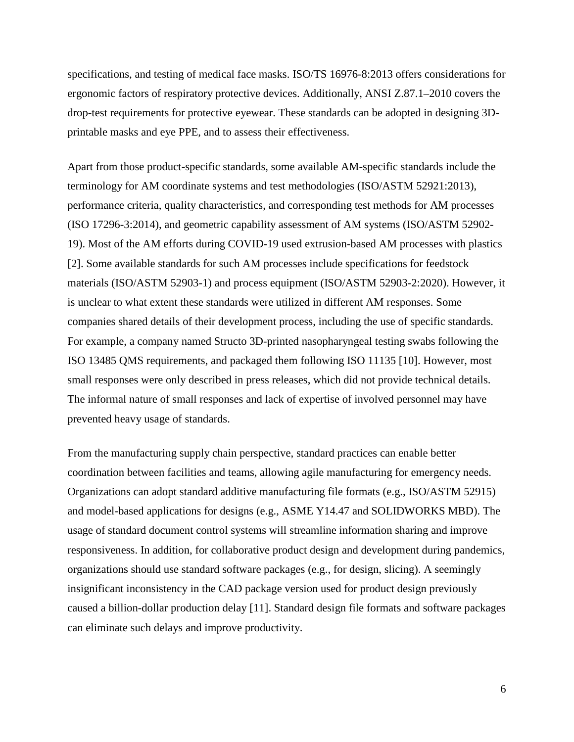specifications, and testing of medical face masks. ISO/TS 16976-8:2013 offers considerations for ergonomic factors of respiratory protective devices. Additionally, ANSI Z.87.1–2010 covers the drop-test requirements for protective eyewear. These standards can be adopted in designing 3Dprintable masks and eye PPE, and to assess their effectiveness.

Apart from those product-specific standards, some available AM-specific standards include the terminology for AM coordinate systems and test methodologies (ISO/ASTM 52921:2013), performance criteria, quality characteristics, and corresponding test methods for AM processes (ISO 17296-3:2014), and geometric capability assessment of AM systems (ISO/ASTM 52902- 19). Most of the AM efforts during COVID-19 used extrusion-based AM processes with plastics [2]. Some available standards for such AM processes include specifications for feedstock materials (ISO/ASTM 52903-1) and process equipment (ISO/ASTM 52903-2:2020). However, it is unclear to what extent these standards were utilized in different AM responses. Some companies shared details of their development process, including the use of specific standards. For example, a company named Structo 3D-printed nasopharyngeal testing swabs following the ISO 13485 QMS requirements, and packaged them following ISO 11135 [10]. However, most small responses were only described in press releases, which did not provide technical details. The informal nature of small responses and lack of expertise of involved personnel may have prevented heavy usage of standards.

From the manufacturing supply chain perspective, standard practices can enable better coordination between facilities and teams, allowing agile manufacturing for emergency needs. Organizations can adopt standard additive manufacturing file formats (e.g., ISO/ASTM 52915) and model-based applications for designs (e.g., ASME Y14.47 and SOLIDWORKS MBD). The usage of standard document control systems will streamline information sharing and improve responsiveness. In addition, for collaborative product design and development during pandemics, organizations should use standard software packages (e.g., for design, slicing). A seemingly insignificant inconsistency in the CAD package version used for product design previously caused a billion-dollar production delay [11]. Standard design file formats and software packages can eliminate such delays and improve productivity.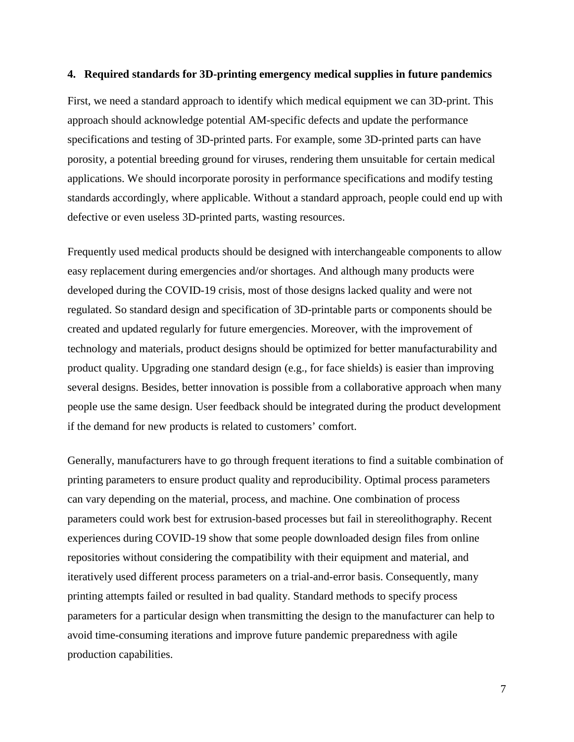## **4. Required standards for 3D-printing emergency medical supplies in future pandemics**

First, we need a standard approach to identify which medical equipment we can 3D-print. This approach should acknowledge potential AM-specific defects and update the performance specifications and testing of 3D-printed parts. For example, some 3D-printed parts can have porosity, a potential breeding ground for viruses, rendering them unsuitable for certain medical applications. We should incorporate porosity in performance specifications and modify testing standards accordingly, where applicable. Without a standard approach, people could end up with defective or even useless 3D-printed parts, wasting resources.

Frequently used medical products should be designed with interchangeable components to allow easy replacement during emergencies and/or shortages. And although many products were developed during the COVID-19 crisis, most of those designs lacked quality and were not regulated. So standard design and specification of 3D-printable parts or components should be created and updated regularly for future emergencies. Moreover, with the improvement of technology and materials, product designs should be optimized for better manufacturability and product quality. Upgrading one standard design (e.g., for face shields) is easier than improving several designs. Besides, better innovation is possible from a collaborative approach when many people use the same design. User feedback should be integrated during the product development if the demand for new products is related to customers' comfort.

Generally, manufacturers have to go through frequent iterations to find a suitable combination of printing parameters to ensure product quality and reproducibility. Optimal process parameters can vary depending on the material, process, and machine. One combination of process parameters could work best for extrusion-based processes but fail in stereolithography. Recent experiences during COVID-19 show that some people downloaded design files from online repositories without considering the compatibility with their equipment and material, and iteratively used different process parameters on a trial-and-error basis. Consequently, many printing attempts failed or resulted in bad quality. Standard methods to specify process parameters for a particular design when transmitting the design to the manufacturer can help to avoid time-consuming iterations and improve future pandemic preparedness with agile production capabilities.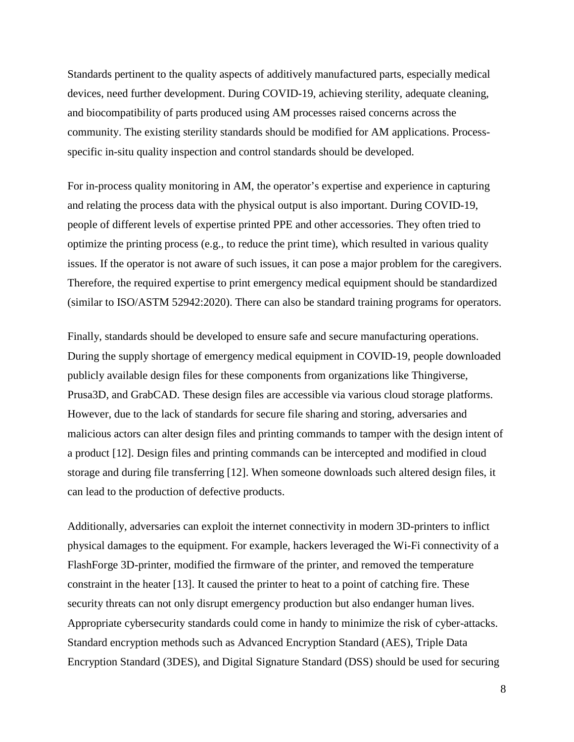Standards pertinent to the quality aspects of additively manufactured parts, especially medical devices, need further development. During COVID-19, achieving sterility, adequate cleaning, and biocompatibility of parts produced using AM processes raised concerns across the community. The existing sterility standards should be modified for AM applications. Processspecific in-situ quality inspection and control standards should be developed.

For in-process quality monitoring in AM, the operator's expertise and experience in capturing and relating the process data with the physical output is also important. During COVID-19, people of different levels of expertise printed PPE and other accessories. They often tried to optimize the printing process (e.g., to reduce the print time), which resulted in various quality issues. If the operator is not aware of such issues, it can pose a major problem for the caregivers. Therefore, the required expertise to print emergency medical equipment should be standardized (similar to ISO/ASTM 52942:2020). There can also be standard training programs for operators.

Finally, standards should be developed to ensure safe and secure manufacturing operations. During the supply shortage of emergency medical equipment in COVID-19, people downloaded publicly available design files for these components from organizations like Thingiverse, Prusa3D, and GrabCAD. These design files are accessible via various cloud storage platforms. However, due to the lack of standards for secure file sharing and storing, adversaries and malicious actors can alter design files and printing commands to tamper with the design intent of a product [12]. Design files and printing commands can be intercepted and modified in cloud storage and during file transferring [12]. When someone downloads such altered design files, it can lead to the production of defective products.

Additionally, adversaries can exploit the internet connectivity in modern 3D-printers to inflict physical damages to the equipment. For example, hackers leveraged the Wi-Fi connectivity of a FlashForge 3D-printer, modified the firmware of the printer, and removed the temperature constraint in the heater [13]. It caused the printer to heat to a point of catching fire. These security threats can not only disrupt emergency production but also endanger human lives. Appropriate cybersecurity standards could come in handy to minimize the risk of cyber-attacks. Standard encryption methods such as Advanced Encryption Standard (AES), Triple Data Encryption Standard (3DES), and Digital Signature Standard (DSS) should be used for securing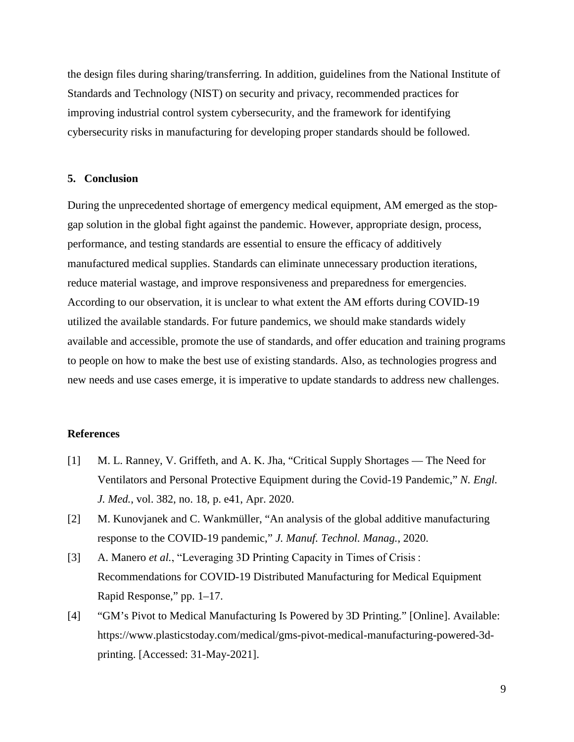the design files during sharing/transferring. In addition, guidelines from the National Institute of Standards and Technology (NIST) on security and privacy, recommended practices for improving industrial control system cybersecurity, and the framework for identifying cybersecurity risks in manufacturing for developing proper standards should be followed.

# **5. Conclusion**

During the unprecedented shortage of emergency medical equipment, AM emerged as the stopgap solution in the global fight against the pandemic. However, appropriate design, process, performance, and testing standards are essential to ensure the efficacy of additively manufactured medical supplies. Standards can eliminate unnecessary production iterations, reduce material wastage, and improve responsiveness and preparedness for emergencies. According to our observation, it is unclear to what extent the AM efforts during COVID-19 utilized the available standards. For future pandemics, we should make standards widely available and accessible, promote the use of standards, and offer education and training programs to people on how to make the best use of existing standards. Also, as technologies progress and new needs and use cases emerge, it is imperative to update standards to address new challenges.

# **References**

- [1] M. L. Ranney, V. Griffeth, and A. K. Jha, "Critical Supply Shortages The Need for Ventilators and Personal Protective Equipment during the Covid-19 Pandemic," *N. Engl. J. Med.*, vol. 382, no. 18, p. e41, Apr. 2020.
- [2] M. Kunovjanek and C. Wankmüller, "An analysis of the global additive manufacturing response to the COVID-19 pandemic," *J. Manuf. Technol. Manag.*, 2020.
- [3] A. Manero *et al.*, "Leveraging 3D Printing Capacity in Times of Crisis : Recommendations for COVID-19 Distributed Manufacturing for Medical Equipment Rapid Response," pp. 1–17.
- [4] "GM's Pivot to Medical Manufacturing Is Powered by 3D Printing." [Online]. Available: https://www.plasticstoday.com/medical/gms-pivot-medical-manufacturing-powered-3dprinting. [Accessed: 31-May-2021].